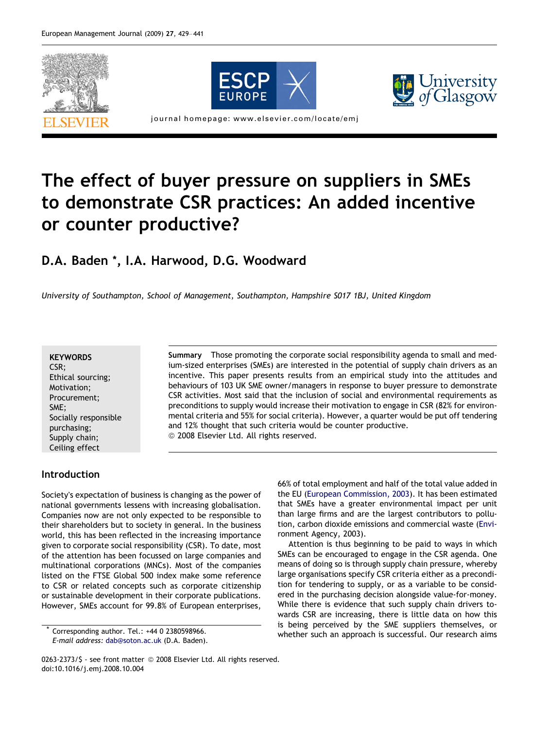





journal homepage: www.elsevier.com/locate/emj

# The effect of buyer pressure on suppliers in SMEs to demonstrate CSR practices: An added incentive or counter productive?

### D.A. Baden \*, I.A. Harwood, D.G. Woodward

University of Southampton, School of Management, Southampton, Hampshire S017 1BJ, United Kingdom

#### **KEYWORDS**

CSR; Ethical sourcing; Motivation; Procurement; SME; Socially responsible purchasing; Supply chain; Ceiling effect

Summary Those promoting the corporate social responsibility agenda to small and medium-sized enterprises (SMEs) are interested in the potential of supply chain drivers as an incentive. This paper presents results from an empirical study into the attitudes and behaviours of 103 UK SME owner/managers in response to buyer pressure to demonstrate CSR activities. Most said that the inclusion of social and environmental requirements as preconditions to supply would increase their motivation to engage in CSR (82% for environmental criteria and 55% for social criteria). However, a quarter would be put off tendering and 12% thought that such criteria would be counter productive. <sup>©</sup> 2008 Elsevier Ltd. All rights reserved.

#### Introduction

Society's expectation of business is changing as the power of national governments lessens with increasing globalisation. Companies now are not only expected to be responsible to their shareholders but to society in general. In the business world, this has been reflected in the increasing importance given to corporate social responsibility (CSR). To date, most of the attention has been focussed on large companies and multinational corporations (MNCs). Most of the companies listed on the FTSE Global 500 index make some reference to CSR or related concepts such as corporate citizenship or sustainable development in their corporate publications. However, SMEs account for 99.8% of European enterprises,

Corresponding author. Tel.: +44 0 2380598966. E-mail address: [dab@soton.ac.uk](mailto:dab@soton.ac.uk) (D.A. Baden). 66% of total employment and half of the total value added in the EU ([European Commission, 2003](#page--1-0)). It has been estimated that SMEs have a greater environmental impact per unit than large firms and are the largest contributors to pollution, carbon dioxide emissions and commercial waste ([Envi](#page--1-0)[ronment Agency, 2003\)](#page--1-0).

Attention is thus beginning to be paid to ways in which SMEs can be encouraged to engage in the CSR agenda. One means of doing so is through supply chain pressure, whereby large organisations specify CSR criteria either as a precondition for tendering to supply, or as a variable to be considered in the purchasing decision alongside value-for-money. While there is evidence that such supply chain drivers towards CSR are increasing, there is little data on how this is being perceived by the SME suppliers themselves, or whether such an approach is successful. Our research aims

<sup>0263-2373/\$ -</sup> see front matter © 2008 Elsevier Ltd. All rights reserved. doi:10.1016/j.emj.2008.10.004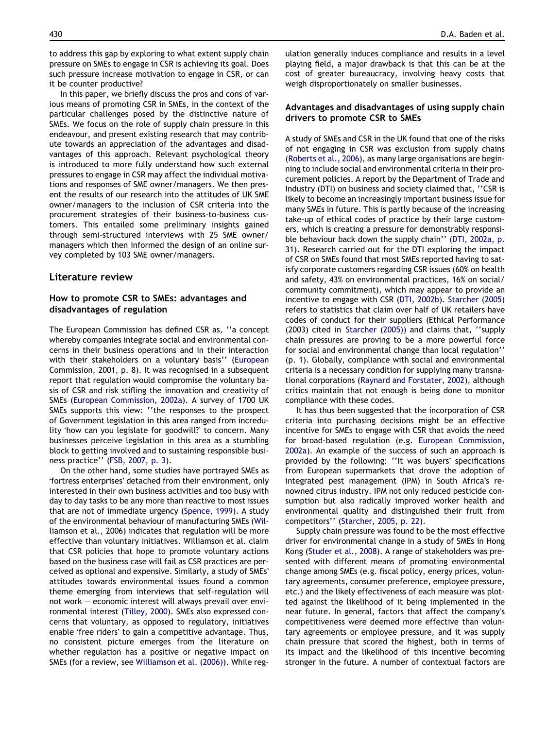to address this gap by exploring to what extent supply chain pressure on SMEs to engage in CSR is achieving its goal. Does such pressure increase motivation to engage in CSR, or can it be counter productive?

In this paper, we briefly discuss the pros and cons of various means of promoting CSR in SMEs, in the context of the particular challenges posed by the distinctive nature of SMEs. We focus on the role of supply chain pressure in this endeavour, and present existing research that may contribute towards an appreciation of the advantages and disadvantages of this approach. Relevant psychological theory is introduced to more fully understand how such external pressures to engage in CSR may affect the individual motivations and responses of SME owner/managers. We then present the results of our research into the attitudes of UK SME owner/managers to the inclusion of CSR criteria into the procurement strategies of their business-to-business customers. This entailed some preliminary insights gained through semi-structured interviews with 25 SME owner/ managers which then informed the design of an online survey completed by 103 SME owner/managers.

#### Literature review

#### How to promote CSR to SMEs: advantages and disadvantages of regulation

The European Commission has defined CSR as, ''a concept whereby companies integrate social and environmental concerns in their business operations and in their interaction with their stakeholders on a voluntary basis'' ([European](#page--1-0) [Commission, 2001, p. 8\)](#page--1-0). It was recognised in a subsequent report that regulation would compromise the voluntary basis of CSR and risk stifling the innovation and creativity of SMEs ([European Commission, 2002a\)](#page--1-0). A survey of 1700 UK SMEs supports this view: ''the responses to the prospect of Government legislation in this area ranged from incredulity 'how can you legislate for goodwill?' to concern. Many businesses perceive legislation in this area as a stumbling block to getting involved and to sustaining responsible business practice'' ([FSB, 2007, p. 3\)](#page--1-0).

On the other hand, some studies have portrayed SMEs as 'fortress enterprises' detached from their environment, only interested in their own business activities and too busy with day to day tasks to be any more than reactive to most issues that are not of immediate urgency [\(Spence, 1999\)](#page--1-0). A study of the environmental behaviour of manufacturing SMEs ([Wil](#page--1-0)[liamson et al., 2006](#page--1-0)) indicates that regulation will be more effective than voluntary initiatives. Williamson et al. claim that CSR policies that hope to promote voluntary actions based on the business case will fail as CSR practices are perceived as optional and expensive. Similarly, a study of SMEs' attitudes towards environmental issues found a common theme emerging from interviews that self-regulation will not work – economic interest will always prevail over environmental interest [\(Tilley, 2000\)](#page--1-0). SMEs also expressed concerns that voluntary, as opposed to regulatory, initiatives enable 'free riders' to gain a competitive advantage. Thus, no consistent picture emerges from the literature on whether regulation has a positive or negative impact on SMEs (for a review, see [Williamson et al. \(2006\)\)](#page--1-0). While regulation generally induces compliance and results in a level playing field, a major drawback is that this can be at the cost of greater bureaucracy, involving heavy costs that weigh disproportionately on smaller businesses.

#### Advantages and disadvantages of using supply chain drivers to promote CSR to SMEs

A study of SMEs and CSR in the UK found that one of the risks of not engaging in CSR was exclusion from supply chains [\(Roberts et al., 2006](#page--1-0)), as many large organisations are beginning to include social and environmental criteria in their procurement policies. A report by the Department of Trade and Industry (DTI) on business and society claimed that, ''CSR is likely to become an increasingly important business issue for many SMEs in future. This is partly because of the increasing take-up of ethical codes of practice by their large customers, which is creating a pressure for demonstrably responsible behaviour back down the supply chain'' ([DTI, 2002a, p.](#page--1-0) [31](#page--1-0)). Research carried out for the DTI exploring the impact of CSR on SMEs found that most SMEs reported having to satisfy corporate customers regarding CSR issues (60% on health and safety, 43% on environmental practices, 16% on social/ community commitment), which may appear to provide an incentive to engage with CSR [\(DTI, 2002b](#page--1-0)). [Starcher \(2005\)](#page--1-0) refers to statistics that claim over half of UK retailers have codes of conduct for their suppliers (Ethical Performance (2003) cited in [Starcher \(2005\)](#page--1-0)) and claims that, ''supply chain pressures are proving to be a more powerful force for social and environmental change than local regulation'' (p. 1). Globally, compliance with social and environmental criteria is a necessary condition for supplying many transnational corporations ([Raynard and Forstater, 2002\)](#page--1-0), although critics maintain that not enough is being done to monitor compliance with these codes.

It has thus been suggested that the incorporation of CSR criteria into purchasing decisions might be an effective incentive for SMEs to engage with CSR that avoids the need for broad-based regulation (e.g. [European Commission,](#page--1-0) [2002a](#page--1-0)). An example of the success of such an approach is provided by the following: ''It was buyers' specifications from European supermarkets that drove the adoption of integrated pest management (IPM) in South Africa's renowned citrus industry. IPM not only reduced pesticide consumption but also radically improved worker health and environmental quality and distinguished their fruit from competitors'' ([Starcher, 2005, p. 22](#page--1-0)).

Supply chain pressure was found to be the most effective driver for environmental change in a study of SMEs in Hong Kong ([Studer et al., 2008](#page--1-0)). A range of stakeholders was presented with different means of promoting environmental change among SMEs (e.g. fiscal policy, energy prices, voluntary agreements, consumer preference, employee pressure, etc.) and the likely effectiveness of each measure was plotted against the likelihood of it being implemented in the near future. In general, factors that affect the company's competitiveness were deemed more effective than voluntary agreements or employee pressure, and it was supply chain pressure that scored the highest, both in terms of its impact and the likelihood of this incentive becoming stronger in the future. A number of contextual factors are